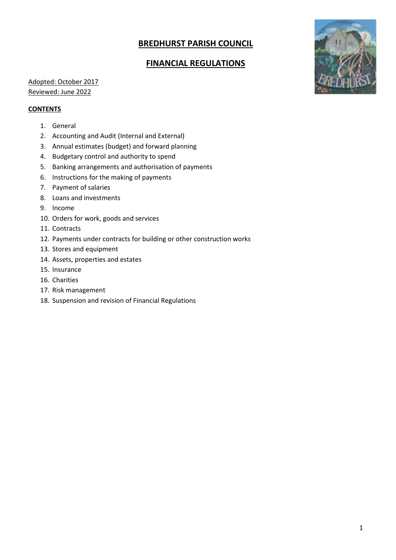# **BREDHURST PARISH COUNCIL**

## **FINANCIAL REGULATIONS**

### Adopted: October 2017 Reviewed: June 2022

#### **CONTENTS**

- 1. General
- 2. Accounting and Audit (Internal and External)
- 3. Annual estimates (budget) and forward planning
- 4. Budgetary control and authority to spend
- 5. Banking arrangements and authorisation of payments
- 6. Instructions for the making of payments
- 7. Payment of salaries
- 8. Loans and investments
- 9. Income
- 10. Orders for work, goods and services
- 11. Contracts
- 12. Payments under contracts for building or other construction works
- 13. Stores and equipment
- 14. Assets, properties and estates
- 15. Insurance
- 16. Charities
- 17. Risk management
- 18. Suspension and revision of Financial Regulations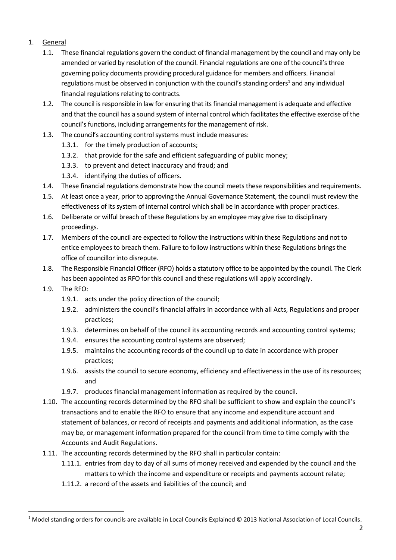- 1. General
	- 1.1. These financial regulations govern the conduct of financial management by the council and may only be amended or varied by resolution of the council. Financial regulations are one of the council's three governing policy documents providing procedural guidance for members and officers. Financial regulations must be observed in conjunction with the council's standing orders<sup>1</sup> and any individual financial regulations relating to contracts.
	- 1.2. The council is responsible in law for ensuring that its financial management is adequate and effective and that the council has a sound system of internal control which facilitates the effective exercise of the council's functions, including arrangements for the management of risk.
	- 1.3. The council's accounting control systems must include measures:
		- 1.3.1. for the timely production of accounts;
		- 1.3.2. that provide for the safe and efficient safeguarding of public money;
		- 1.3.3. to prevent and detect inaccuracy and fraud; and
		- 1.3.4. identifying the duties of officers.
	- 1.4. These financial regulations demonstrate how the council meets these responsibilities and requirements.
	- 1.5. At least once a year, prior to approving the Annual Governance Statement, the council must review the effectiveness of its system of internal control which shall be in accordance with proper practices.
	- 1.6. Deliberate or wilful breach of these Regulations by an employee may give rise to disciplinary proceedings.
	- 1.7. Members of the council are expected to follow the instructions within these Regulations and not to entice employees to breach them. Failure to follow instructions within these Regulations brings the office of councillor into disrepute.
	- 1.8. The Responsible Financial Officer (RFO) holds a statutory office to be appointed by the council. The Clerk has been appointed as RFO for this council and these regulations will apply accordingly.
	- 1.9. The RFO:
		- 1.9.1. acts under the policy direction of the council;
		- 1.9.2. administers the council's financial affairs in accordance with all Acts, Regulations and proper practices;
		- 1.9.3. determines on behalf of the council its accounting records and accounting control systems;
		- 1.9.4. ensures the accounting control systems are observed;
		- 1.9.5. maintains the accounting records of the council up to date in accordance with proper practices;
		- 1.9.6. assists the council to secure economy, efficiency and effectiveness in the use of its resources; and
		- 1.9.7. produces financial management information as required by the council.
	- 1.10. The accounting records determined by the RFO shall be sufficient to show and explain the council's transactions and to enable the RFO to ensure that any income and expenditure account and statement of balances, or record of receipts and payments and additional information, as the case may be, or management information prepared for the council from time to time comply with the Accounts and Audit Regulations.
	- 1.11. The accounting records determined by the RFO shall in particular contain:
		- 1.11.1. entries from day to day of all sums of money received and expended by the council and the matters to which the income and expenditure or receipts and payments account relate;
		- 1.11.2. a record of the assets and liabilities of the council; and

<sup>&</sup>lt;sup>1</sup> Model standing orders for councils are available in Local Councils Explained © 2013 National Association of Local Councils.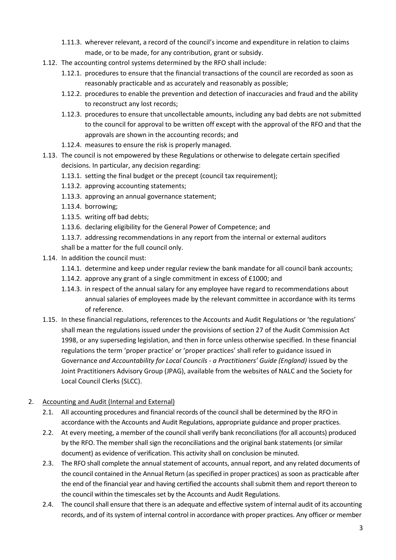- 1.11.3. wherever relevant, a record of the council's income and expenditure in relation to claims made, or to be made, for any contribution, grant or subsidy.
- 1.12. The accounting control systems determined by the RFO shall include:
	- 1.12.1. procedures to ensure that the financial transactions of the council are recorded as soon as reasonably practicable and as accurately and reasonably as possible;
	- 1.12.2. procedures to enable the prevention and detection of inaccuracies and fraud and the ability to reconstruct any lost records;
	- 1.12.3. procedures to ensure that uncollectable amounts, including any bad debts are not submitted to the council for approval to be written off except with the approval of the RFO and that the approvals are shown in the accounting records; and
	- 1.12.4. measures to ensure the risk is properly managed.
- 1.13. The council is not empowered by these Regulations or otherwise to delegate certain specified decisions. In particular, any decision regarding:
	- 1.13.1. setting the final budget or the precept (council tax requirement);
	- 1.13.2. approving accounting statements;
	- 1.13.3. approving an annual governance statement;
	- 1.13.4. borrowing;
	- 1.13.5. writing off bad debts;
	- 1.13.6. declaring eligibility for the General Power of Competence; and
	- 1.13.7. addressing recommendations in any report from the internal or external auditors
	- shall be a matter for the full council only.
- 1.14. In addition the council must:
	- 1.14.1. determine and keep under regular review the bank mandate for all council bank accounts;
	- 1.14.2. approve any grant of a single commitment in excess of £1000; and
	- 1.14.3. in respect of the annual salary for any employee have regard to recommendations about annual salaries of employees made by the relevant committee in accordance with its terms of reference.
- 1.15. In these financial regulations, references to the Accounts and Audit Regulations or 'the regulations' shall mean the regulations issued under the provisions of section 27 of the Audit Commission Act 1998, or any superseding legislation, and then in force unless otherwise specified. In these financial regulations the term 'proper practice' or 'proper practices' shall refer to guidance issued in Governance *and Accountability for Local Councils - a Practitioners' Guide (England)* issued by the Joint Practitioners Advisory Group (JPAG), available from the websites of NALC and the Society for Local Council Clerks (SLCC).

### 2. Accounting and Audit (Internal and External)

- 2.1. All accounting procedures and financial records of the council shall be determined by the RFO in accordance with the Accounts and Audit Regulations, appropriate guidance and proper practices.
- 2.2. At every meeting, a member of the council shall verify bank reconciliations (for all accounts) produced by the RFO. The member shall sign the reconciliations and the original bank statements (or similar document) as evidence of verification. This activity shall on conclusion be minuted.
- 2.3. The RFO shall complete the annual statement of accounts, annual report, and any related documents of the council contained in the Annual Return (as specified in proper practices) as soon as practicable after the end of the financial year and having certified the accounts shall submit them and report thereon to the council within the timescales set by the Accounts and Audit Regulations.
- 2.4. The council shall ensure that there is an adequate and effective system of internal audit of its accounting records, and of its system of internal control in accordance with proper practices. Any officer or member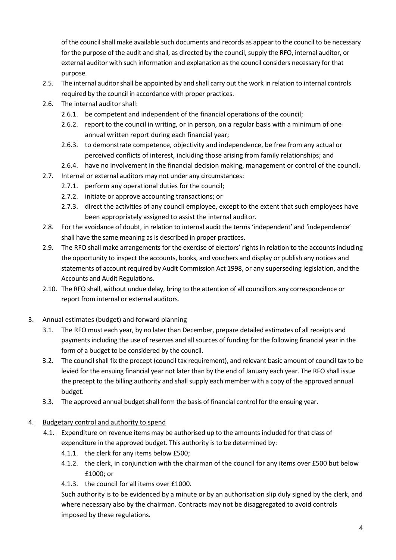of the council shall make available such documents and records as appear to the council to be necessary for the purpose of the audit and shall, as directed by the council, supply the RFO, internal auditor, or external auditor with such information and explanation as the council considers necessary for that purpose.

- 2.5. The internal auditor shall be appointed by and shall carry out the work in relation to internal controls required by the council in accordance with proper practices.
- 2.6. The internal auditor shall:
	- 2.6.1. be competent and independent of the financial operations of the council;
	- 2.6.2. report to the council in writing, or in person, on a regular basis with a minimum of one annual written report during each financial year;
	- 2.6.3. to demonstrate competence, objectivity and independence, be free from any actual or perceived conflicts of interest, including those arising from family relationships; and
	- 2.6.4. have no involvement in the financial decision making, management or control of the council.
- 2.7. Internal or external auditors may not under any circumstances:
	- 2.7.1. perform any operational duties for the council;
	- 2.7.2. initiate or approve accounting transactions; or
	- 2.7.3. direct the activities of any council employee, except to the extent that such employees have been appropriately assigned to assist the internal auditor.
- 2.8. For the avoidance of doubt, in relation to internal audit the terms 'independent' and 'independence' shall have the same meaning as is described in proper practices.
- 2.9. The RFO shall make arrangements for the exercise of electors' rights in relation to the accounts including the opportunity to inspect the accounts, books, and vouchers and display or publish any notices and statements of account required by Audit Commission Act 1998, or any superseding legislation, and the Accounts and Audit Regulations.
- 2.10. The RFO shall, without undue delay, bring to the attention of all councillors any correspondence or report from internal or external auditors.

### 3. Annual estimates (budget) and forward planning

- 3.1. The RFO must each year, by no later than December, prepare detailed estimates of all receipts and payments including the use of reserves and all sources of funding for the following financial year in the form of a budget to be considered by the council.
- 3.2. The council shall fix the precept (council tax requirement), and relevant basic amount of council tax to be levied for the ensuing financial year not later than by the end of January each year. The RFO shall issue the precept to the billing authority and shall supply each member with a copy of the approved annual budget.
- 3.3. The approved annual budget shall form the basis of financial control for the ensuing year.
- 4. Budgetary control and authority to spend
	- 4.1. Expenditure on revenue items may be authorised up to the amounts included for that class of expenditure in the approved budget. This authority is to be determined by:
		- 4.1.1. the clerk for any items below £500;
		- 4.1.2. the clerk, in conjunction with the chairman of the council for any items over £500 but below £1000; or
		- 4.1.3. the council for all items over £1000.

Such authority is to be evidenced by a minute or by an authorisation slip duly signed by the clerk, and where necessary also by the chairman. Contracts may not be disaggregated to avoid controls imposed by these regulations.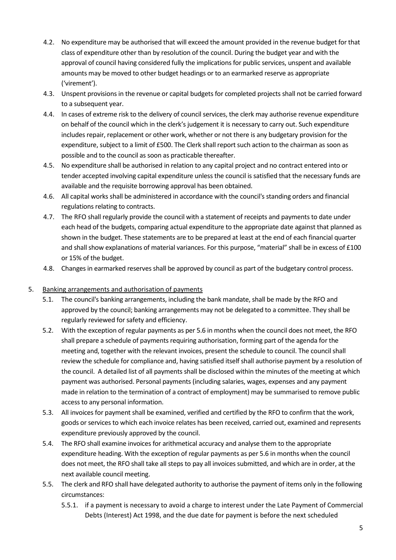- 4.2. No expenditure may be authorised that will exceed the amount provided in the revenue budget for that class of expenditure other than by resolution of the council. During the budget year and with the approval of council having considered fully the implications for public services, unspent and available amounts may be moved to other budget headings or to an earmarked reserve as appropriate ('virement').
- 4.3. Unspent provisions in the revenue or capital budgets for completed projects shall not be carried forward to a subsequent year.
- 4.4. In cases of extreme risk to the delivery of council services, the clerk may authorise revenue expenditure on behalf of the council which in the clerk's judgement it is necessary to carry out. Such expenditure includes repair, replacement or other work, whether or not there is any budgetary provision for the expenditure, subject to a limit of £500. The Clerk shall report such action to the chairman as soon as possible and to the council as soon as practicable thereafter.
- 4.5. No expenditure shall be authorised in relation to any capital project and no contract entered into or tender accepted involving capital expenditure unless the council is satisfied that the necessary funds are available and the requisite borrowing approval has been obtained.
- 4.6. All capital works shall be administered in accordance with the council's standing orders and financial regulations relating to contracts.
- 4.7. The RFO shall regularly provide the council with a statement of receipts and payments to date under each head of the budgets, comparing actual expenditure to the appropriate date against that planned as shown in the budget. These statements are to be prepared at least at the end of each financial quarter and shall show explanations of material variances. For this purpose, "material" shall be in excess of £100 or 15% of the budget.
- 4.8. Changes in earmarked reserves shall be approved by council as part of the budgetary control process.

#### 5. Banking arrangements and authorisation of payments

- 5.1. The council's banking arrangements, including the bank mandate, shall be made by the RFO and approved by the council; banking arrangements may not be delegated to a committee. They shall be regularly reviewed for safety and efficiency.
- 5.2. With the exception of regular payments as per 5.6 in months when the council does not meet, the RFO shall prepare a schedule of payments requiring authorisation, forming part of the agenda for the meeting and, together with the relevant invoices, present the schedule to council. The council shall review the schedule for compliance and, having satisfied itself shall authorise payment by a resolution of the council. A detailed list of all payments shall be disclosed within the minutes of the meeting at which payment was authorised. Personal payments (including salaries, wages, expenses and any payment made in relation to the termination of a contract of employment) may be summarised to remove public access to any personal information.
- 5.3. All invoices for payment shall be examined, verified and certified by the RFO to confirm that the work, goods or services to which each invoice relates has been received, carried out, examined and represents expenditure previously approved by the council.
- 5.4. The RFO shall examine invoices for arithmetical accuracy and analyse them to the appropriate expenditure heading. With the exception of regular payments as per 5.6 in months when the council does not meet, the RFO shall take all steps to pay all invoices submitted, and which are in order, at the next available council meeting.
- 5.5. The clerk and RFO shall have delegated authority to authorise the payment of items only in the following circumstances:
	- 5.5.1. if a payment is necessary to avoid a charge to interest under the Late Payment of Commercial Debts (Interest) Act 1998, and the due date for payment is before the next scheduled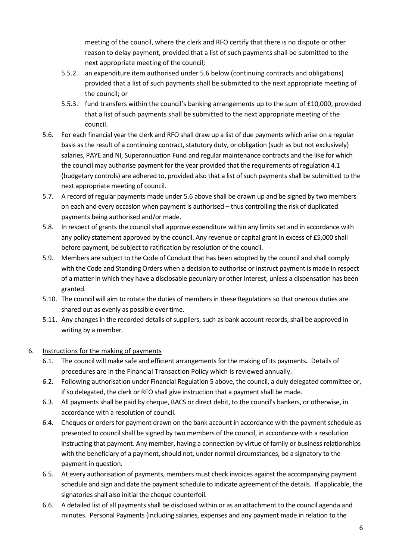meeting of the council, where the clerk and RFO certify that there is no dispute or other reason to delay payment, provided that a list of such payments shall be submitted to the next appropriate meeting of the council;

- 5.5.2. an expenditure item authorised under 5.6 below (continuing contracts and obligations) provided that a list of such payments shall be submitted to the next appropriate meeting of the council; or
- 5.5.3. fund transfers within the council's banking arrangements up to the sum of £10,000, provided that a list of such payments shall be submitted to the next appropriate meeting of the council.
- 5.6. For each financial year the clerk and RFO shall draw up a list of due payments which arise on a regular basis as the result of a continuing contract, statutory duty, or obligation (such as but not exclusively) salaries, PAYE and NI, Superannuation Fund and regular maintenance contracts and the like for which the council may authorise payment for the year provided that the requirements of regulation 4.1 (budgetary controls) are adhered to, provided also that a list of such payments shall be submitted to the next appropriate meeting of council.
- 5.7. A record of regular payments made under 5.6 above shall be drawn up and be signed by two members on each and every occasion when payment is authorised – thus controlling the risk of duplicated payments being authorised and/or made.
- 5.8. In respect of grants the council shall approve expenditure within any limits set and in accordance with any policy statement approved by the council. Any revenue or capital grant in excess of £5,000 shall before payment, be subject to ratification by resolution of the council.
- 5.9. Members are subject to the Code of Conduct that has been adopted by the council and shall comply with the Code and Standing Orders when a decision to authorise or instruct payment is made in respect of a matter in which they have a disclosable pecuniary or other interest, unless a dispensation has been granted.
- 5.10. The council will aim to rotate the duties of members in these Regulations so that onerous duties are shared out as evenly as possible over time.
- 5.11. Any changes in the recorded details of suppliers, such as bank account records, shall be approved in writing by a member.

## 6. Instructions for the making of payments

- 6.1. The council will make safe and efficient arrangements for the making of its payments**.** Details of procedures are in the Financial Transaction Policy which is reviewed annually.
- 6.2. Following authorisation under Financial Regulation 5 above, the council, a duly delegated committee or, if so delegated, the clerk or RFO shall give instruction that a payment shall be made.
- 6.3. All payments shall be paid by cheque, BACS or direct debit, to the council's bankers, or otherwise, in accordance with a resolution of council.
- 6.4. Cheques or orders for payment drawn on the bank account in accordance with the payment schedule as presented to council shall be signed by two members of the council, in accordance with a resolution instructing that payment. Any member, having a connection by virtue of family or business relationships with the beneficiary of a payment, should not, under normal circumstances, be a signatory to the payment in question.
- 6.5. At every authorisation of payments, members must check invoices against the accompanying payment schedule and sign and date the payment schedule to indicate agreement of the details. If applicable, the signatories shall also initial the cheque counterfoil.
- 6.6. A detailed list of all payments shall be disclosed within or as an attachment to the council agenda and minutes. Personal Payments (including salaries, expenses and any payment made in relation to the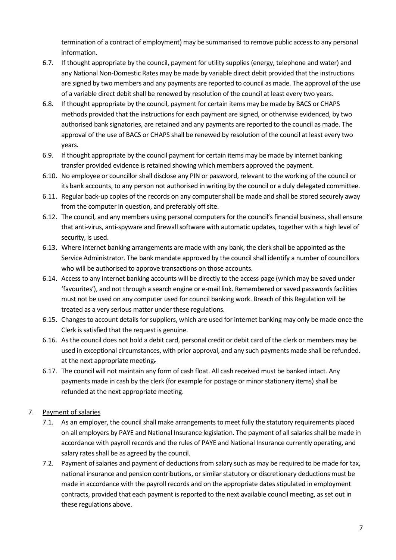termination of a contract of employment) may be summarised to remove public access to any personal information.

- 6.7. If thought appropriate by the council, payment for utility supplies (energy, telephone and water) and any National Non-Domestic Rates may be made by variable direct debit provided that the instructions are signed by two members and any payments are reported to council as made. The approval of the use of a variable direct debit shall be renewed by resolution of the council at least every two years.
- 6.8. If thought appropriate by the council, payment for certain items may be made by BACS or CHAPS methods provided that the instructions for each payment are signed, or otherwise evidenced, by two authorised bank signatories, are retained and any payments are reported to the council as made. The approval of the use of BACS or CHAPS shall be renewed by resolution of the council at least every two years.
- 6.9. If thought appropriate by the council payment for certain items may be made by internet banking transfer provided evidence is retained showing which members approved the payment.
- 6.10. No employee or councillor shall disclose any PIN or password, relevant to the working of the council or its bank accounts, to any person not authorised in writing by the council or a duly delegated committee.
- 6.11. Regular back-up copies of the records on any computer shall be made and shall be stored securely away from the computer in question, and preferably off site.
- 6.12. The council, and any members using personal computers for the council's financial business, shall ensure that anti-virus, anti-spyware and firewall software with automatic updates, together with a high level of security, is used.
- 6.13. Where internet banking arrangements are made with any bank, the clerk shall be appointed as the Service Administrator. The bank mandate approved by the council shall identify a number of councillors who will be authorised to approve transactions on those accounts.
- 6.14. Access to any internet banking accounts will be directly to the access page (which may be saved under 'favourites'), and not through a search engine or e-mail link. Remembered or saved passwords facilities must not be used on any computer used for council banking work. Breach of this Regulation will be treated as a very serious matter under these regulations.
- 6.15. Changes to account details for suppliers, which are used for internet banking may only be made once the Clerk is satisfied that the request is genuine.
- 6.16. As the council does not hold a debit card, personal credit or debit card of the clerk or members may be used in exceptional circumstances, with prior approval, and any such payments made shall be refunded. at the next appropriate meeting.
- 6.17. The council will not maintain any form of cash float. All cash received must be banked intact. Any payments made in cash by the clerk (for example for postage or minor stationery items) shall be refunded at the next appropriate meeting.

### 7. Payment of salaries

- 7.1. As an employer, the council shall make arrangements to meet fully the statutory requirements placed on all employers by PAYE and National Insurance legislation. The payment of all salaries shall be made in accordance with payroll records and the rules of PAYE and National Insurance currently operating, and salary rates shall be as agreed by the council.
- 7.2. Payment of salaries and payment of deductions from salary such as may be required to be made for tax, national insurance and pension contributions, or similar statutory or discretionary deductions must be made in accordance with the payroll records and on the appropriate dates stipulated in employment contracts, provided that each payment is reported to the next available council meeting, as set out in these regulations above.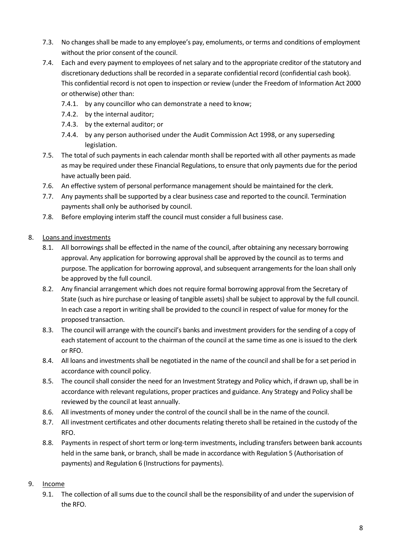- 7.3. No changes shall be made to any employee's pay, emoluments, or terms and conditions of employment without the prior consent of the council.
- 7.4. Each and every payment to employees of net salary and to the appropriate creditor of the statutory and discretionary deductions shall be recorded in a separate confidential record (confidential cash book). This confidential record is not open to inspection or review (under the Freedom of Information Act 2000 or otherwise) other than:
	- 7.4.1. by any councillor who can demonstrate a need to know;
	- 7.4.2. by the internal auditor;
	- 7.4.3. by the external auditor; or
	- 7.4.4. by any person authorised under the Audit Commission Act 1998, or any superseding legislation.
- 7.5. The total of such payments in each calendar month shall be reported with all other payments as made as may be required under these Financial Regulations, to ensure that only payments due for the period have actually been paid.
- 7.6. An effective system of personal performance management should be maintained for the clerk.
- 7.7. Any payments shall be supported by a clear business case and reported to the council. Termination payments shall only be authorised by council.
- 7.8. Before employing interim staff the council must consider a full business case.
- 8. Loans and investments
	- 8.1. All borrowings shall be effected in the name of the council, after obtaining any necessary borrowing approval. Any application for borrowing approval shall be approved by the council as to terms and purpose. The application for borrowing approval, and subsequent arrangements for the loan shall only be approved by the full council.
	- 8.2. Any financial arrangement which does not require formal borrowing approval from the Secretary of State (such as hire purchase or leasing of tangible assets) shall be subject to approval by the full council. In each case a report in writing shall be provided to the council in respect of value for money for the proposed transaction.
	- 8.3. The council will arrange with the council's banks and investment providers for the sending of a copy of each statement of account to the chairman of the council at the same time as one is issued to the clerk or RFO.
	- 8.4. All loans and investments shall be negotiated in the name of the council and shall be for a set period in accordance with council policy.
	- 8.5. The council shall consider the need for an Investment Strategy and Policy which, if drawn up, shall be in accordance with relevant regulations, proper practices and guidance. Any Strategy and Policy shall be reviewed by the council at least annually.
	- 8.6. All investments of money under the control of the council shall be in the name of the council.
	- 8.7. All investment certificates and other documents relating thereto shall be retained in the custody of the RFO.
	- 8.8. Payments in respect of short term or long-term investments, including transfers between bank accounts held in the same bank, or branch, shall be made in accordance with Regulation 5 (Authorisation of payments) and Regulation 6 (Instructions for payments).
- 9. Income
	- 9.1. The collection of all sums due to the council shall be the responsibility of and under the supervision of the RFO.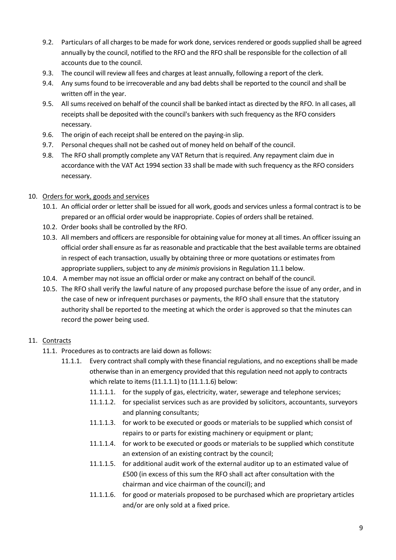- 9.2. Particulars of all charges to be made for work done, services rendered or goods supplied shall be agreed annually by the council, notified to the RFO and the RFO shall be responsible for the collection of all accounts due to the council.
- 9.3. The council will review all fees and charges at least annually, following a report of the clerk.
- 9.4. Any sums found to be irrecoverable and any bad debts shall be reported to the council and shall be written off in the year.
- 9.5. All sums received on behalf of the council shall be banked intact as directed by the RFO. In all cases, all receipts shall be deposited with the council's bankers with such frequency as the RFO considers necessary.
- 9.6. The origin of each receipt shall be entered on the paying-in slip.
- 9.7. Personal cheques shall not be cashed out of money held on behalf of the council.
- 9.8. The RFO shall promptly complete any VAT Return that is required. Any repayment claim due in accordance with the VAT Act 1994 section 33 shall be made with such frequency as the RFO considers necessary.

#### 10. Orders for work, goods and services

- 10.1. An official order or letter shall be issued for all work, goods and services unless a formal contract is to be prepared or an official order would be inappropriate. Copies of orders shall be retained.
- 10.2. Order books shall be controlled by the RFO.
- 10.3. All members and officers are responsible for obtaining value for money at all times. An officer issuing an official order shall ensure as far as reasonable and practicable that the best available terms are obtained in respect of each transaction, usually by obtaining three or more quotations or estimates from appropriate suppliers, subject to any *de minimis* provisions in Regulation 11.1 below.
- 10.4. A member may not issue an official order or make any contract on behalf of the council.
- 10.5. The RFO shall verify the lawful nature of any proposed purchase before the issue of any order, and in the case of new or infrequent purchases or payments, the RFO shall ensure that the statutory authority shall be reported to the meeting at which the order is approved so that the minutes can record the power being used.

### 11. Contracts

- 11.1. Procedures as to contracts are laid down as follows:
	- 11.1.1. Every contract shall comply with these financial regulations, and no exceptions shall be made otherwise than in an emergency provided that this regulation need not apply to contracts which relate to items (11.1.1.1) to (11.1.1.6) below:
		- 11.1.1.1. for the supply of gas, electricity, water, sewerage and telephone services;
		- 11.1.1.2. for specialist services such as are provided by solicitors, accountants, surveyors and planning consultants;
		- 11.1.1.3. for work to be executed or goods or materials to be supplied which consist of repairs to or parts for existing machinery or equipment or plant;
		- 11.1.1.4. for work to be executed or goods or materials to be supplied which constitute an extension of an existing contract by the council;
		- 11.1.1.5. for additional audit work of the external auditor up to an estimated value of £500 (in excess of this sum the RFO shall act after consultation with the chairman and vice chairman of the council); and
		- 11.1.1.6. for good or materials proposed to be purchased which are proprietary articles and/or are only sold at a fixed price.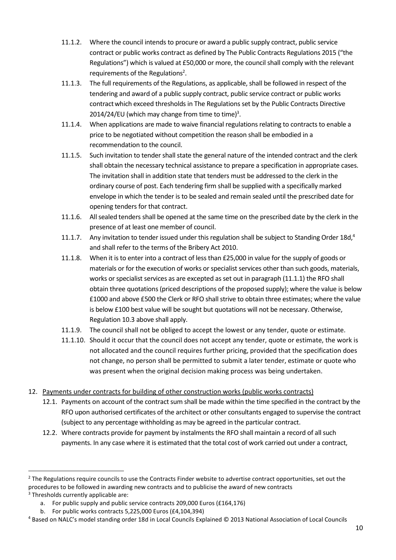- 11.1.2. Where the council intends to procure or award a public supply contract, public service contract or public works contract as defined by The Public Contracts Regulations 2015 ("the Regulations") which is valued at £50,000 or more, the council shall comply with the relevant requirements of the Regulations<sup>2</sup>.
- 11.1.3. The full requirements of the Regulations, as applicable, shall be followed in respect of the tendering and award of a public supply contract, public service contract or public works contractwhich exceed thresholds in The Regulations set by the Public Contracts Directive  $2014/24$ /EU (which may change from time to time)<sup>3</sup>.
- 11.1.4. When applications are made to waive financial regulations relating to contracts to enable a price to be negotiated without competition the reason shall be embodied in a recommendation to the council.
- 11.1.5. Such invitation to tender shall state the general nature of the intended contract and the clerk shall obtain the necessary technical assistance to prepare a specification in appropriate cases. The invitation shall in addition state that tenders must be addressed to the clerk in the ordinary course of post. Each tendering firm shall be supplied with a specifically marked envelope in which the tender is to be sealed and remain sealed until the prescribed date for opening tenders for that contract.
- 11.1.6. All sealed tenders shall be opened at the same time on the prescribed date by the clerk in the presence of at least one member of council.
- 11.1.7. Any invitation to tender issued under this regulation shall be subject to Standing Order 18d,<sup>4</sup> and shall refer to the terms of the Bribery Act 2010.
- 11.1.8. When it is to enter into a contract of less than £25,000 in value for the supply of goods or materials or for the execution of works or specialist services other than such goods, materials, works or specialist services as are excepted as set out in paragraph (11.1.1) the RFO shall obtain three quotations (priced descriptions of the proposed supply); where the value is below £1000 and above £500 the Clerk or RFO shall strive to obtain three estimates; where the value is below £100 best value will be sought but quotations will not be necessary. Otherwise, Regulation 10.3 above shall apply.
- 11.1.9. The council shall not be obliged to accept the lowest or any tender, quote or estimate.
- 11.1.10. Should it occur that the council does not accept any tender, quote or estimate, the work is not allocated and the council requires further pricing, provided that the specification does not change, no person shall be permitted to submit a later tender, estimate or quote who was present when the original decision making process was being undertaken.
- 12. Payments under contracts for building of other construction works (public works contracts)
	- 12.1. Payments on account of the contract sum shall be made within the time specified in the contract by the RFO upon authorised certificates of the architect or other consultants engaged to supervise the contract (subject to any percentage withholding as may be agreed in the particular contract.
	- 12.2. Where contracts provide for payment by instalments the RFO shall maintain a record of all such payments. In any case where it is estimated that the total cost of work carried out under a contract,

<sup>&</sup>lt;sup>2</sup> The Regulations require councils to use the Contracts Finder website to advertise contract opportunities, set out the procedures to be followed in awarding new contracts and to publicise the award of new contracts

<sup>&</sup>lt;sup>3</sup> Thresholds currently applicable are:

a. For public supply and public service contracts 209,000 Euros (£164,176)

b. For public works contracts 5,225,000 Euros (£4,104,394)

<sup>4</sup> Based on NALC's model standing order 18d in Local Councils Explained © 2013 National Association of Local Councils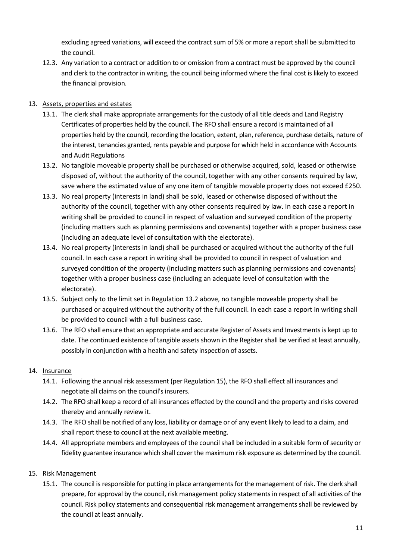excluding agreed variations, will exceed the contract sum of 5% or more a report shall be submitted to the council.

12.3. Any variation to a contract or addition to or omission from a contract must be approved by the council and clerk to the contractor in writing, the council being informed where the final cost is likely to exceed the financial provision.

### 13. Assets, properties and estates

- 13.1. The clerk shall make appropriate arrangements for the custody of all title deeds and Land Registry Certificates of properties held by the council. The RFO shall ensure a record is maintained of all properties held by the council, recording the location, extent, plan, reference, purchase details, nature of the interest, tenancies granted, rents payable and purpose for which held in accordance with Accounts and Audit Regulations
- 13.2. No tangible moveable property shall be purchased or otherwise acquired, sold, leased or otherwise disposed of, without the authority of the council, together with any other consents required by law, save where the estimated value of any one item of tangible movable property does not exceed £250.
- 13.3. No real property (interests in land) shall be sold, leased or otherwise disposed of without the authority of the council, together with any other consents required by law. In each case a report in writing shall be provided to council in respect of valuation and surveyed condition of the property (including matters such as planning permissions and covenants) together with a proper business case (including an adequate level of consultation with the electorate).
- 13.4. No real property (interests in land) shall be purchased or acquired without the authority of the full council. In each case a report in writing shall be provided to council in respect of valuation and surveyed condition of the property (including matters such as planning permissions and covenants) together with a proper business case (including an adequate level of consultation with the electorate).
- 13.5. Subject only to the limit set in Regulation 13.2 above, no tangible moveable property shall be purchased or acquired without the authority of the full council. In each case a report in writing shall be provided to council with a full business case.
- 13.6. The RFO shall ensure that an appropriate and accurate Register of Assets and Investments is kept up to date. The continued existence of tangible assets shown in the Register shall be verified at least annually, possibly in conjunction with a health and safety inspection of assets.

### 14. Insurance

- 14.1. Following the annual risk assessment (per Regulation 15), the RFO shall effect all insurances and negotiate all claims on the council's insurers.
- 14.2. The RFO shall keep a record of all insurances effected by the council and the property and risks covered thereby and annually review it.
- 14.3. The RFO shall be notified of any loss, liability or damage or of any event likely to lead to a claim, and shall report these to council at the next available meeting.
- 14.4. All appropriate members and employees of the council shall be included in a suitable form of security or fidelity guarantee insurance which shall cover the maximum risk exposure as determined by the council.

## 15. Risk Management

15.1. The council is responsible for putting in place arrangements for the management of risk. The clerk shall prepare, for approval by the council, risk management policy statements in respect of all activities of the council. Risk policy statements and consequential risk management arrangements shall be reviewed by the council at least annually.